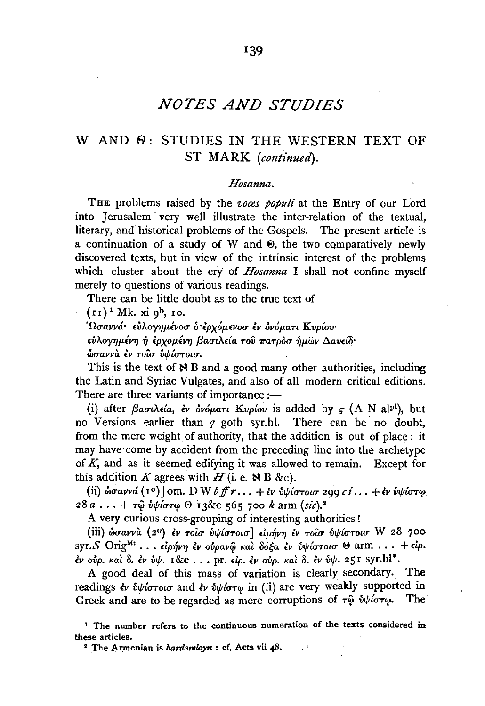# *NOTES AND STUDIES*

## W AND  $\Theta$ : STUDIES IN THE WESTERN TEXT OF ST MARK *(continued).*

#### *Hosanna.*

THE problems raised by the *voces populi* at the Entry of our Lord into Jerusalem · very well illustrate the inter-relation of the textual, literary, and historical problems of the Gospels. The present article is a continuation of a study of W and @, the two comparatively newly discovered texts, but in view of the intrinsic interest of the problems which cluster about the cry of *Hosanna* I shall not confine myself merely to questions of various readings.

There can be little doubt as to the true text of

 $(r<sub>I</sub>)<sup>1</sup>$  Mk. xi  $q<sup>b</sup>$ , 10.

*'Ouavva· £VAO"f'Y]JLtvOU o·lpx61uvou lv ovoµan Kvp{ov· £VADY'YJJLEV'YJ* .;, *lpxoJLEV'YJ f3autA.da Tov 7raTpOu .;,µwv 6.av£{o·*   $\phi$ σαννά έν τοίσ υψίστοισ.

This is the text of  $\aleph$  B and a good many other authorities, including the Latin and Syriac Vulgates, and also of all modern critical editions. There are three variants of importance :-

(i) after  $\beta$ a*o*u $\lambda \epsilon$ *ia*, *čv* ov*opatu* Kvplov is added by  $\epsilon$  (A N al<sup>pl</sup>), but no Versions earlier than *q* goth syr.hl. There can be no doubt, from the mere weight of authority, that the addition is out of place : it may have come by accident from the preceding line into the archetype of  $K$ , and as it seemed edifying it was allowed to remain. Except for this addition *K* agrees with  $H$  (i. e.  $\aleph$  B &c).

(ii)  $\omega$ davva  $(I^o)$ ] om. D W  $\delta$  ff  $r \ldots + \epsilon v$   $\omega$ *i* $\omega$ *ioroid* 299 *ci* ...  $+\epsilon v$   $\omega$ *i* $\omega$ *i* $\sigma v$  $\omega$  $28a... + \tau\hat{\omega}$   $\hat{\psi}\hat{\psi}\hat{\sigma}\tau\omega$   $\Theta$  13&c 565 700 k arm (sic).<sup>2</sup>

A very curious cross-grouping of interesting authorities !

(iii) *wuavva* (2°) *lv TOLU vifr{UToiu]* dp~V'Y} *lv TOLU vif{uTOLU* w 28 700 syr. *S* Orig<sup>Mt</sup> ... *είρήνη έν ούραν*ω και δόξα *εν υψίστοισ ®* arm ... + είρ. *lv ovp. Kal* 0. *lv vifr.* I&C .. • pr. *£ip. lv* Oup. *Kal 0, lv vifr.* 25! syr.hl\*,

A good deal of this mass of variation is clearly secondary. The readings *εν υψίστοισ* and *εν υψίστω* in (ii) are very weakly supported in Greek and are to be regarded as mere corruptions of τω υψίστω. The

<sup>1</sup> The number refers to the continuous numeration of the texts considered in these articles.

<sup>2</sup> The Armenian is *bardsreloyn* : cf. Acts vii 48.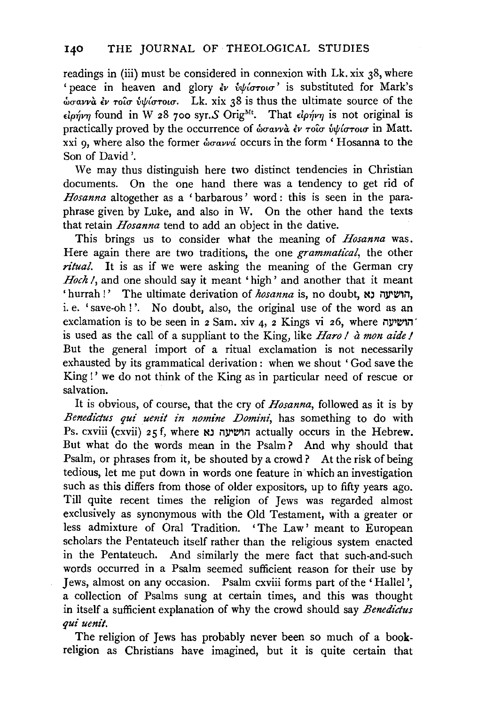readings in (iii) must be considered in connexion with Lk. xix 38, where ' peace in heaven and glory  $\partial v$   $\partial \psi$   $\partial \sigma$ *roig*' is substituted for Mark's  $\omega$ σαννα έν τοιο υψίστοιο. Lk. xix 38 is thus the ultimate source of the  $\epsilon$ *ionvn* found in W 28 700 syr.S Orig<sup>Mt</sup>. That  $\epsilon$ *ionvn* is not original is practically proved by the occurrence of  $\phi \sigma \omega v \hat{a} \epsilon v \tau \hat{\omega} \hat{\sigma} \hat{\omega} \hat{\omega} \hat{\omega} \tau \hat{\sigma} \hat{\sigma}$  in Matt. xxi 9, where also the former  $\phi_{\text{grav}}$  occurs in the form ' Hosanna to the Son of David'.

We may thus distinguish here two distinct tendencies in Christian documents. On the one hand there was a tendency to get rid of *Hosanna* altogether as a 'barbarous' word : this is seen in the paraphrase given by Luke, and also in W. On the other hand the texts that retain *Hosanna* tend to add an object in the dative.

This brings us to consider what the meaning of *Hosanna* was. Here again there are two traditions, the one *grammatical,* the other *ritual.* It is as if we were asking the meaning of the German cry Hoch *I*, and one should say it meant 'high' and another that it meant 'hurrah !' The ultimate derivation of *hosanna* is, no doubt, הושיעה נ i. e. 'save-oh!'. No doubt, also, the original use of the word as an exclamation is to be seen in  $2$  Sam. xiv  $4$ ,  $2$  Kings vi  $26$ , where  $i$ is used as the call of a suppliant to the King, like *Haro I* a *mon aide I*  But the general import of a ritual exclamation is not necessarily exhausted by its grammatical derivation : when we shout 'God save the King !' we do not think of the King as in particular need of rescue or salvation.

It is obvious, of course, that the cry of *Hosanna,* followed as it is by *Benedictus qui uenit in nomine Domini*, has something to do with Ps. cxviii (cxvii) 25 f, where הושעה נא actually occurs in the Hebrew. But what do the words mean in the Psalm ? And why should that Psalm, or phrases from it, be shouted by a crowd ? At the risk of being tedious, let me put down in words one feature in which an investigation such as this differs from those of older expositors, up to fifty years ago. Till quite recent times the religion of Jews was regarded almost exclusively as synonymous with the Old Testament, with a greater or less admixture of Oral Tradition. 'The Law' meant to European scholars the Pentateuch itself rather than the religious system enacted in the Pentateuch. And similarly the mere fact that such-and-such words occurred in a Psalm seemed sufficient reason for their use by Jews, almost on any occasion. Psalm cxviii forms part of the ' Halle! ', a collection of Psalms sung at certain times, and this was thought in itself a sufficient explanation of why the crowd should say *Benedictus qui uenit.* 

The religion of Jews has probably never been so much of a bookreligion as Christians have imagined, but it is quite certain that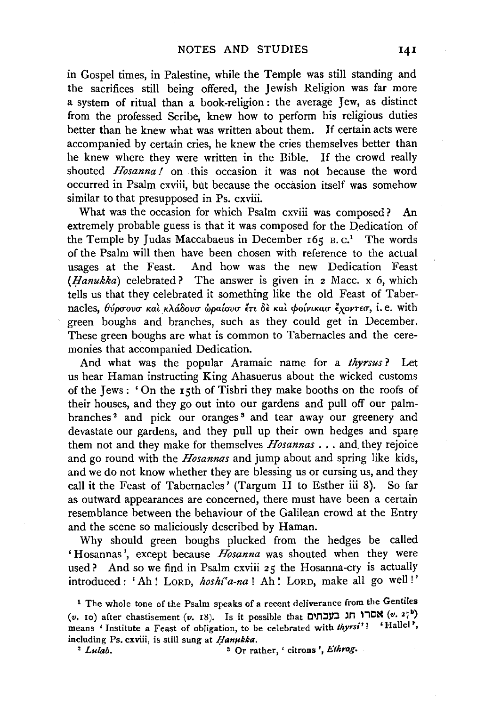in Gospel times, in Palestine, while the Temple was still standing and the sacrifices still being offered, the Jewish Religion was far more a system of ritual than a book-religion : the average Jew, as distinct from the professed Scribe, knew how to perform his religious duties better than he knew what was written about them. If certain acts were accompanied by certain cries, he knew the cries themselves better than he knew where they were written in the Bible. If the crowd really shouted *Hosanna!* on this occasion it was not because the word occurred in Psalm cxviii, but because the occasion itself was somehow similar to that presupposed in Ps. cxviii.

What was the occasion for which Psalm cxviii was composed? An extremely probable guess is that it was composed for the Dedication of the Temple by Judas Maccabaeus in December  $165 B$ .  $C<sup>1</sup>$  The words of the Psalm will then have been chosen with reference to the actual usages at the Feast. And how was the new Dedication Feast *(Ifanukka)* celebrated? The answer is given in 2 Mace. x 6, which tells us that they celebrated it something like the old Feast of Tabernacles,  $\theta_{\nu}^{\prime}$   $\theta_{\nu}^{\prime}$   $\sigma_{\nu}$   $\alpha_{\nu}$   $\alpha_{\nu}$   $\alpha_{\nu}$   $\alpha_{\nu}$   $\alpha_{\nu}$   $\alpha_{\nu}$   $\alpha_{\nu}$   $\alpha_{\nu}$   $\alpha_{\nu}$   $\alpha_{\nu}$ , i.e. with green boughs and branches, such as they could get in December. These green boughs are what is common to Tabernacles and the ceremonies that accompanied Dedication.

And what was the popular Aramaic name for a *thyrsus* ? Let us hear Haman instructing King Ahasuerus about the wicked customs of the Jews : ' On the 15th of Tishri they make booths on the roofs of their houses, and they go out into our gardens and pull off our palmbranches<sup>2</sup> and pick our oranges<sup>3</sup> and tear away our greenery and devastate our gardens, and they pull up their own hedges and spare them not and they make for themselves *Hosannas* ... and, they rejoice and go round with the *Hosannas* and jump about and spring like kids, and we do not know whether they are blessing us or cursing us, and they call it the Feast of Tabernacles' (Targum II to Esther iii 8). So far as outward appearances are concerned, there must have been a certain resemblance between the behaviour of the Galilean crowd at the Entry and the scene so maliciously described by Haman.

Why should green boughs plucked from the hedges be called ' Hosannas', except because *Hosanna* was shouted when they were used? And so we find in Psalm cxviii 25 the Hosanna-cry is actually introduced : 'Ah ! LORD, *hoshf'a-na* ! Ah ! LORD, make all go well ! '

<sup>2</sup> *Lulab.* <sup>3</sup> Or rather, ' citrons', *Ethrog.* 

<sup>1</sup> The whole tone of the Psalm speaks of a recent deliverance from the Gentiles ( $v$ . **10)** after chastisement ( $v$ . **18).** Is it possible that **CILIFII:**  $(v. 2^*_{l})$ means 'Institute a Feast of obligation, to be celebrated with *thyrsi'!* 'Hallel', including Ps. cxviii, is still sung at *Hanukka*.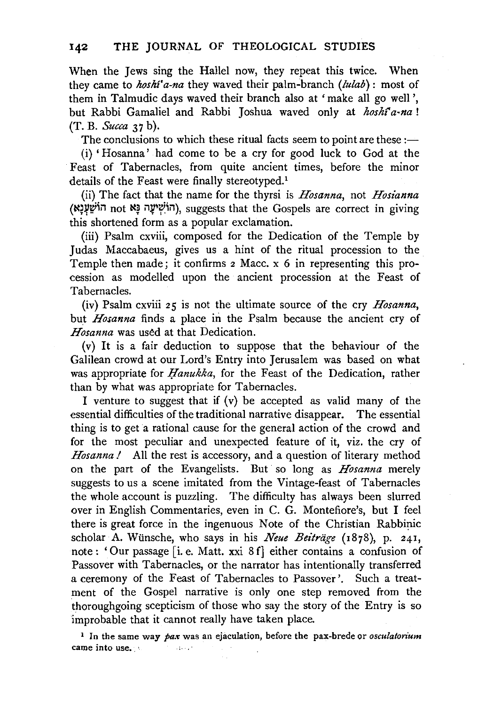When the Jews sing the Hallel now, they repeat this twice. When they came to *hoshi'a-na* they waved their palm-branch *(!ulab):* most of them in Talmudic days waved their branch also at 'make all go well', but Rabbi Gamaliel and Rabbi Joshua waved only at *hoshf'a-na* ! (T. B. *Succa* 37 b).

The conclusions to which these ritual facts seem to point are these: $-$ 

(i) 'Hosanna' had come to be a cry for good luck to God at the Feast of Tabernacles, from quite ancient times, before the minor details of the Feast were finally stereotyped.<sup>1</sup>

(ii) The fact that the name for the thyrsi is *Hosanna,* not *Hosianna*  (הוֹשִׁיעָה נַא not N, suggests that the Gospels are correct in giving this shortened form as a popular exclamation.

(iii) Psalm cxviii, composed for the Dedication of the Temple by Judas Maccabaeus, gives us a hint of the ritual procession to the Temple then made; it confirms 2 Mace. x 6 in representing this procession as modelled upon the ancient procession at the Feast of Tabernacles.

(iv) Psalm cxviii 25 is not the ultimate source of the cry *Hosanna,*  but *Hosanna* finds a place in the Psalm because the ancient cry of *Hosanna* was used at that Dedication.

(v) It is a fair deduction to suppose that the behaviour of the Galilean crowd at our Lord's Entry into Jerusalem was based on what was appropriate for *Hanukka*, for the Feast of the Dedication, rather than by what was appropriate for Tabernacles.

I venture to suggest that if  $(v)$  be accepted as valid many of the essential difficulties of the traditional narrative disappear. The essential thing is to get a rational cause for the general action of the crowd and for the most peculiar and unexpected feature of it, viz. the cry of *Hosanna!* All the rest is accessory, and a question of literary method on the part of the Evangelists. But so long as *Hosanna* merely suggests to us a scene imitated from the Vintage-feast of Tabernacles the whole account is puzzling. The difficulty has always been slurred over in English Commentaries, even in C. G. Montefiore's, but I feel there is great force in the ingenuous Note of the Christian Rabbinic scholar A. Wiinsche, who says in his *Neue Beitriige* (1878), p. 241, note : ' Our passage [i. e. Matt. xxi 8 f] either contains a confusion of Passover with Tabernacles, or the narrator has intentionally transferred a ceremony of the Feast of Tabernacles to Passover'. Such a treatment of the Gospel narrative is only one step removed from the thoroughgoing scepticism of those who say the story of the Entry is so improbable that it cannot really have taken place.

<sup>1</sup> In the same way *pax* was an ejaculation, before the pax-brede or *osculatorium* came into use. · بالمقدام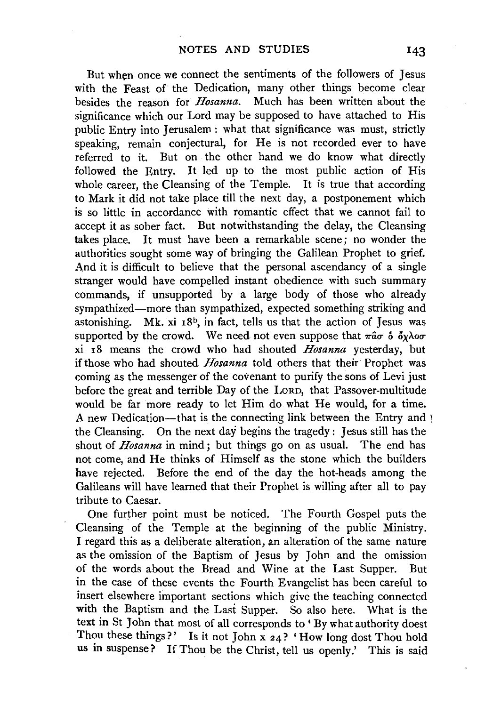But when once we connect the sentiments of the followers of Jesus with the Feast of the Dedication, many other things become clear besides the reason for *Hosanna.* Much has been written about the significance which our Lord may be supposed to have attached to His public Entry into Jerusalem: what that significance was must, strictly speaking, remain conjectural, for He is not recorded ever to have referred to it. But on the other hand we do know what directly followed the Entry. It led up to the most public action of His whole career, the Cleansing of the Temple. It is true that according to Mark it did not take place till the next day, a postponement which is so little in accordance with romantic effect that we cannot fail to accept it as sober fact. But notwithstanding the delay, the Cleansing takes place. It must have been a remarkable scene; no wonder the authorities sought some way of bringing the Galilean Prophet to grief. And it is difficult to believe that the personal ascendancy of a single stranger would have compelled instant obedience with such summary commands, if unsupported by a large body of those who already sympathized-more than sympathized, expected something striking and astonishing. Mk. xi 18b, in fact, tells us that the action of Jesus was supported by the crowd. We need not even suppose that  $\pi \hat{a} \sigma$  of  $\delta \chi \lambda$ o $\sigma$ . xi 18 means the crowd who had shouted *Hosanna* yesterday, but if those who had shouted *Hosanna* told others that their Prophet was coming as the messenger of the covenant to purify the sons of Levi just before the great and terrible Day of the LORD, that Passover-multitude would be far more ready to let Him do what He would, for a time. A new Dedication-that is the connecting link between the Entry and  $\overline{\phantom{a}}$ the Cleansing. On the next day begins the tragedy : Jesus still has the shout of *Hosanna* in mind ; but things go on as usual. The end has not come, and He thinks of Himself as the stone which the builders have rejected. Before the end of the day the hot-heads among the Galileans will have learned that their Prophet is willing after all to pay tribute to Caesar.

One further point must be noticed. The Fourth Gospel puts the Cleansing of the Temple at the beginning of the public Ministry. I regard this as a deliberate alteration, an alteration of the same nature as the omission of the Baptism of Jesus by John and the omission of the words about the Bread and Wine at the Last Supper. But in the case of these events the Fourth Evangelist has been careful to insert elsewhere important sections which give the teaching connected with the Baptism and the Last Supper. So also here. What is the text in St John that most of all corresponds to' By what authority doest Thou these things?' Is it not John x  $24$ ? 'How long dost Thou hold us in suspense? If Thou be the Christ, tell us openly.' This is said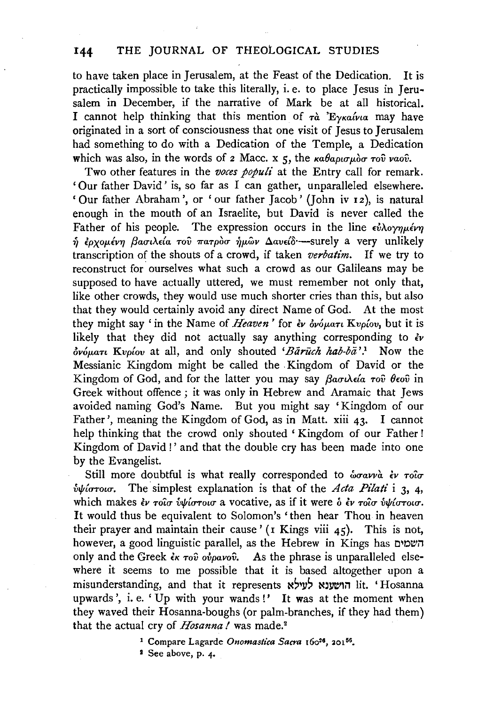## **144** THE JOURNAL OF THEOLOGICAL STUDIES

to have taken place in Jerusalem, at the Feast of the Dedication. It is practically impossible to take this literally, i.e. to place Jesus in Jerusalem in December, if the narrative of Mark be at all historical. I cannot help thinking that this mention of  $\tau \dot{a}$  'E<sub>yKa</sub> $\acute{i}$ <sub>z</sub> may have originated in a sort of consciousness that one visit of Jesus to Jerusalem had something to do with a Dedication of the Temple, a Dedication which was also, in the words of  $z$  Macc. x  $\zeta$ , the  $\kappa a \theta a \rho \iota \sigma \mu \partial \sigma \tau o \hat{v}$  vaov.

Two other features in the *voces populi* at the Entry call for remark. 'Our father David' is, so far as I can gather, unparalleled elsewhere. ' Our father Abraham', or ' our father Jacob' (John iv 12 ), is natural enough in the mouth of an Israelite, but David is never called the Father of his people. The expression occurs in the line *ε*υλογημένη  $\hat{\eta}$  *έρχομένη βασιλεία του πατροσ ήμ*ων Δανείδ·-surely a very unlikely transcription of the shouts of a crowd, if taken *verbatim.* If we try to reconstruct for ourselves what such a crowd as our Galileans may be supposed to have actually uttered, we must remember not only that, like other crowds, they would use much shorter cries than this, but also that they would certainly avoid any direct Name of God. At the most they might say 'in the Name of *Heaven'* for *£v ov6µan Kvp{ov,* but it is likely that they did not actually say anything corresponding to *£v ov6µan Kvpfov* at all, and only shouted *'Biiriich hab-bii* '.1 Now the Messianic Kingdom might be called the Kingdom of David or the Kingdom of God, and for the latter you may say *βασιλεία του θεου* in Greek without offence; it was only in Hebrew and Aramaic that Jews avoided naming God's Name. But you might say 'Kingdom of our Father', meaning the Kingdom of God, as in Matt. xiii 43. I cannot help thinking that the crowd only shouted 'Kingdom of our Father! Kingdom of David !' and that the double cry has been made into one by the Evangelist.

Still more doubtful is what really corresponded to  $\omega \sigma a \nu \alpha \partial \nu \tau$  $\hat{v}\psi$ *i*  $\sigma$ *row.* The simplest explanation is that of the *Acta Pilati* i 3, 4, which makes *εν τοισ υψίστοισ* a vocative, as if it were *b εν τοισ υψίστοισ*. It would thus be equivalent to Solomon's ' then hear Thou in heaven their prayer and maintain their cause ' ( $\bar{x}$  Kings viii 45). This is not, however, a good linguistic parallel, as the Hebrew in Kings has השמים only and the Greek  $\epsilon_K \tau$ ov ovpavov. As the phrase is unparalleled elsewhere it seems to me possible that it is based altogether upon a misunderstanding, and that it represents לעילא lit. 'Hosanna upwards', i. e. 'Up with your wands!' It was at the moment when they waved their Hosanna-boughs (or palm-branches, if they had them) that the actual cry of *Hosanna*! was made.<sup>2</sup>

1 See above, p. *4.* 

<sup>&</sup>lt;sup>1</sup> Compare Lagarde *Onomastica Sacra* 160<sup>26</sup>, 201<sup>56</sup>.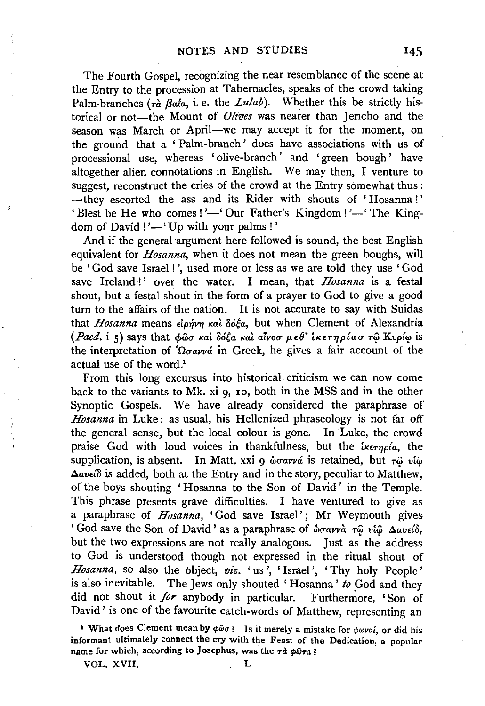The.Fourth Gospel, recognizing the near resemblance of the scene at the Entry to the procession at Tabernacles, speaks of the crowd taking Palm-branches ( $\tau \hat{a}$  *Bata, i. e.* the *Lulab*). Whether this be strictly historical or not-the Mount of *Olives* was nearer than Jericho and the season was March or April—we may accept it for the moment, on the ground that a ' Palm-branch' does have associations with us of processional use, whereas 'olive-branch' and 'green bough' have altogether alien connotations in English. We may then, I venture to suggest, reconstruct the cries of the crowd at the Entry somewhat thus : -they escorted the ass and its Rider with shouts of 'Hosanna!' 'Blest be He who comes!'—' Our Father's Kingdom!'—' The Kingdom of David!'—'Up with your palms!'

And if the general argument here followed is sound, the best English equivalent for *Hosanna*, when it does not mean the green boughs, will be 'God save Israel !', used more or less as we are told they use 'God save Ireland !' over the water. I mean, that *Hosanna* is a festal shout, hut a festal shout in the form of a prayer to God to give a good turn to the affairs of the nation. It is not accurate to say with Suidas that *Hosanna* means  $\epsilon$ ipývy kai  $\delta$ ó $\xi$ a, but when Clement of Alexandria *(Paed. i 5)* says that  $\phi$ ωσ και δόξα και αίνοσ μεθ' ικετηρίαστω Κυρίω is the interpretation of *'Ωσαννά* in Greek, he gives a fair account of the actual use of the word.<sup>1</sup>

From this long excursus into historical criticism we can now come back to the variants to Mk. xi 9, 10, both in the MSS and in the other Synoptic Gospels. We have already considered the paraphrase of *Hosanna* in Luke : as usual, his Hellenized phraseology is not far off the general sense, but the local colour is gone. In Luke, the crowd praise God with loud voices in thankfulness, but the *iKETYDIa*, the supplication, is absent. In Matt. xxi 9  $\omega$ orava is retained, but  $\tau \hat{\omega}$  vi $\hat{\omega}$  $\Delta$ av $\epsilon$ *i* $\delta$  is added, both at the Entry and in the story, peculiar to Matthew, of the boys shouting 'Hosanna to the Son of David' in the Temple. This phrase presents grave difficulties. I have ventured to give as a paraphrase of *Hosanna,* 'God save Israel'; Mr Weymouth gives 'God save the Son of David' as a paraphrase of  $\omega$ oravva  $\tau$  $\omega$  vi $\omega$   $\Delta$ avείδ, but the two expressions are not really analogous. Just as the address to God is understood though not expressed in the ritual shout of *Hosanna*, so also the object, *viz.* 'us', 'Israel', 'Thy holy People' is also inevitable. The Jews only shouted 'Hosanna' *to* God and they did not shout it *for* anybody in particular. Furthermore, 'Son of David' is one of the favourite catch-words of Matthew, representing an

1 What does Clement mean by  $\phi \hat{\omega} \sigma$ ? Is it merely a mistake for  $\phi \omega \nu a i$ , or did his informant ultimately connect the cry with the Feast of the Dedication, a popular name for which, according to Josephus, was the  $\tau d \phi \hat{\omega} \tau a$ ?

VOL. XVII. L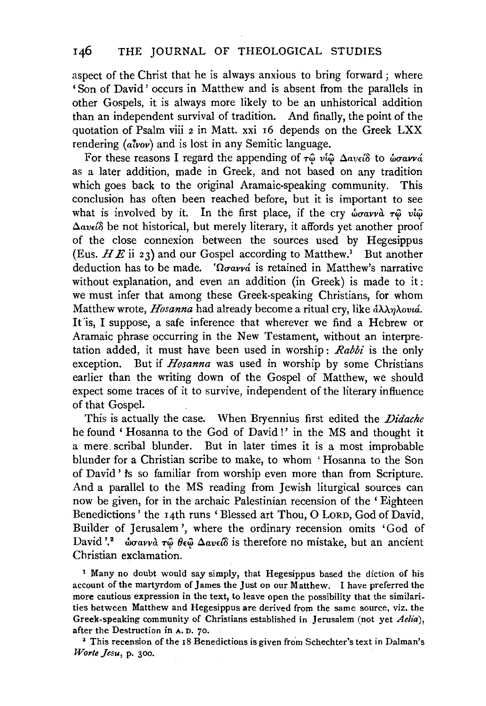aspect of the Christ that he is always anxious to bring forward; where 'Son of David' occurs in Matthew and is absent from the parallels in other Gospels, it is always more likely to be an unhistorical addition than an independent survival of tradition. And finally, the point of the quotation of Psalm viii 2 in Matt. xxi 16 depends on the Greek LXX rendering *(a!vov)* and is lost in any Semitic language.

For these reasons I regard the appending of τω *νίω* Δανείδ to *ώσαννά* as a later addition, made in Greek, and not based on any tradition which goes back to the original Aramaic-speaking community. This conclusion has often been reached before, but it is important to see what is involved by it. In the first place, if the cry  $\phi \sigma \alpha \nu \alpha \tau \hat{\varphi}$  *vi* $\hat{\varphi}$ *Aav£{o* be not historical, but merely literary, it affords yet another proof of the close connexion between the sources used by Hegesippus (Eus.  $HE$  ii 23) and our Gospel according to Matthew.<sup>1</sup> But another deduction has to be made. *'* $\Omega \sigma a \gamma \gamma a$  is retained in Matthew's narrative without explanation, and even an addition (in Greek) is made to it: we must infer that among these Greek-speaking Christians, for whom Matthew wrote, *Hosanna* had already become a ritual cry, like *άλληλονιά*. It is, I suppose, a safe inference that wherever we find a Hebrew or Aramaic phrase occurring in the New Testament, without an interpretation added, it must have been used in worship: *Rabbi* is the only exception. But if *Hosanna* was used in worship by some Christians earlier than the writing down of the Gospel of Matthew, we should expect some traces of it to survive, independent of the literary influence of that Gospel.

This is actually the case. When Bryennius first edited the *Didacke*  he found 'Hosanna to the God of David!' in the MS and thought it a mere. scribal blunder. But in later times it is a most improbable blunder for a Christian scribe to make, to whom ' Hosanna to the Son of David' ts so familiar from worship even more than from Scripture. And a parallel to the MS reading from Jewish liturgical sources can now be given, for in the archaic Palestinian recension of the ' Eighteen Benedictions' the 14th runs 'Blessed art Thou, 0 LORD, God of David, Builder of Jerusalem', where the ordinary recension omits 'God of David '.<sup>2</sup> ώσαννα τῶ θεῶ Δανείδ is therefore no mistake, but an ancient Christian exclamation.

<sup>1</sup> Many no doubt would say simply, that Hegesippus based the diction of his account of the martyrdom of James the Just on our Matthew. I have preferred the more cautious expression in the text, to leave open the possibility that the similarities between Matthew and Hegesippus are derived from the same source, viz. the Greek-speaking community of Christians established in Jerusalem (not yet *Aelia),*  after the Destruction in A. D. 70.

<sup>2</sup> This recension of the 18 Benedictions is given from Schechter's text in Dalman's *Worte Jesu,* p. 300.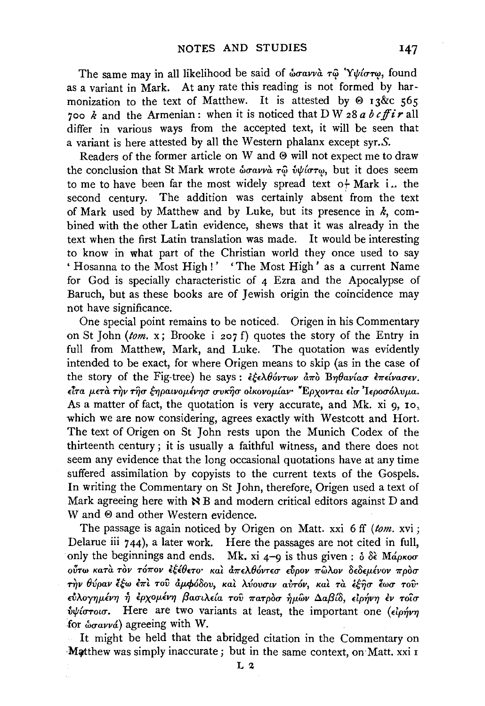The same may in all likelihood be said of  $\omega \sigma a \nu \omega \tau \hat{\omega}$  'Y $\psi i \sigma \tau \omega$ , found as a variant in Mark. At any rate this reading is not formed by harmonization to the text of Matthew. It is attested by  $\Theta$  13&c 565 700 *k* and the Armenian: when it is noticed that D W 28 *a b cff i r* all differ in various ways from the accepted text, it will be seen that a variant is here attested by all the Western phalanx except syr.S.

Readers of the former article on W and ® will not expect me to draw the conclusion that St Mark wrote *ώσαννα τω ύψίστω*, but it does seem to me to have been far the most widely spread text  $o+$  Mark i.. the second century. The addition was certainly absent from the text of Mark used by Matthew and by Luke, but its presence in  $k$ , combined with the other Latin evidence, shews that it was already in the text when the first Latin translation was made. It would be interesting to know in what part of the Christian world they once used to say ' Hosanna to the Most High!' 'The Most High' as a current Name for God is specially characteristic of 4 Ezra and the Apocalypse of Baruch, but as these books are of Jewish origin the coincidence may not have significance.

One special point remains to be noticed. Origen in his Commentary on St John *(tom.* x; Brooke i 207 f) quotes the story of the Entry in full from Matthew, Mark, and Luke. The quotation was evidently intended to be exact, for where Origen means to skip (as in the case of the story of the Fig-tree) he says:  $\frac{\partial^2}{\partial x \partial x \partial y}$   $\frac{\partial^2}{\partial y \partial x \partial x}$   $\frac{\partial^2}{\partial y \partial x \partial x \partial y \partial y \partial y \partial y \partial x}$ *£Ira µ.£ra T1Jv TI}o- ff}paivoµ.lv710- o-vK1jo- olKovoµ.{av· ¥Epxovrai* do- *'hpoo-6>..vµ.a.*  As a matter of fact, the quotation is very accurate, and Mk. xi 9, 10, which we are now considering, agrees exactly with Westcott and Hort. The text of Origen on St John rests upon the Munich Codex of the thirteenth century; it is usually a faithful witness, and there does not seem any evidence that the long occasional quotations have at any time suffered assimilation by copyists to the current texts of the Gospels. In writing the Commentary on St John, therefore, Origen used a text of Mark agreeing here with  $\aleph$  B and modern critical editors against D and W and  $\Theta$  and other Western evidence.

The passage is again noticed by Origen on Matt. xxi 6 ff *(tom.* xvi; Delarue iii 744), a later work. Here the passages are not cited in full, only the beginnings and ends. Mk. xi  $4-9$  is thus given:  $\delta \delta \hat{\epsilon}$  Ma<sub>pKoo</sub>*o* στω κατά τον τόπον εξέθετο και απελθόντεσ εύρον πωλον δεδεμένον προσ  $T_{T}$ ν θύραν έξω έπι του άμφόδου, και λύουσιν αυτόν, και τα εξησ έωσ του·  $\epsilon$ ύλογημένη ή ερχομένη βασιλεία του πατροσ ημ**ων Δαβίδ**, ειρήνη εν τοίσ *fibioroig*. Here are two variants at least, the important one ( $\epsilon \rightarrow \epsilon$ ) for  $\omega_{\sigma\alpha\nu\alpha\dot{\alpha}}$  agreeing with W.

It might be held that the abridged citation in the Commentary on Matthew was simply inaccurate; but in the same context, on Matt. xxi 1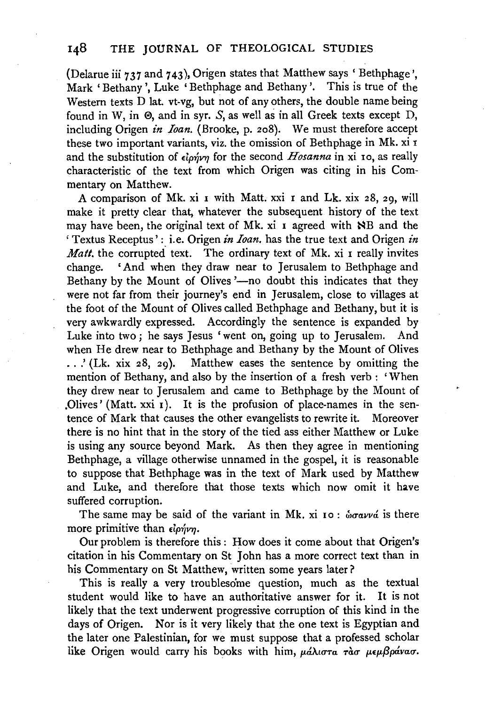(Delarue iii  $737$  and  $743$ ), Origen states that Matthew says ' Bethphage'. Mark 'Bethany ', Luke ' Bethphage and Bethany '. This is true of the Western texts D lat. vt-vg, but not of any others, the double name being found in W, in  $\Theta$ , and in syr. S, as well as in all Greek texts except D, including Origen *in Ioan.* (Brooke, p. 208). We must therefore accept these two important variants, viz. the omission of Bethphage in Mk. xi r and the substitution of  $\epsilon \cdot \delta_1$  for the second *Hosanna* in xi 10, as really characteristic of the text from which Origen was citing in his Commentary on Matthew.

A comparison of Mk. xi 1 with Matt. xxi I and Lk. xix 28, 29, will make it pretty clear that, whatever the subsequent history of the text may have been, the original text of Mk. xi 1 agreed with NB and the 'Textus Receptus': i.e. Origen *in Ioan.* has the true text and Origen *in Matt*, the corrupted text. The ordinary text of Mk, xi I really invites change. 'And when they draw near to Jerusalem to Bethphage and Bethany by the Mount of Olives '-no doubt this indicates that they were not far from their journey's end in Jerusalem, close to villages at the foot of the Mount of Olives called Bethphage and Bethany, but it is very awkwardly expressed. Accordingly the sentence is expanded by Luke into two; he says Jesus 'went on, going up to Jerusalem. And when He drew near to Bethphage and Bethany by the Mount of Olives .. .' (Lk. xix 28, 29). Matthew eases the sentence by omitting the mention of Bethany, and also by the insertion of a fresh verb : 'When they drew near to Jerusalem and came to Bethphage by the Mount of .Olives' (Matt.  $xxi_1$ ). It is the profusion of place-names in the sentence of Mark that causes the other evangelists to rewrite it. Moreover there is no hint that in the story of the tied ass either Matthew or Luke is using any source beyond Mark. As then they agree in mentioning Bethphage, a village otherwise unnamed in the gospel, it is reasonable to suppose that Bethphage was in the text of Mark used by Matthew and Luke, and therefore that those texts which now omit it have suffered corruption.

The same may be said of the variant in Mk. xi 10:  $\omega \sigma a \nu \nu a$  is there more primitive than  $\epsilon$ *ionvn*.

Our problem is therefore this : How does it come about that Origen's citation in his Commentary on St John has a more correct text than in his Commentary on St Matthew, written some years later?

This is really a very troublesome question, much as the textual student would like to have an authoritative answer for it. It is not likely that the text underwent progressive corruption of this kind in the days of Origen. Nor is it very likely that the one text is Egyptian and the later one Palestinian, for we must suppose that a professed scholar like Origen would carry his books with him,  $\mu d\lambda$   $\sigma$   $\tau a \sigma \mu \epsilon \mu \beta \rho d \nu a \sigma$ .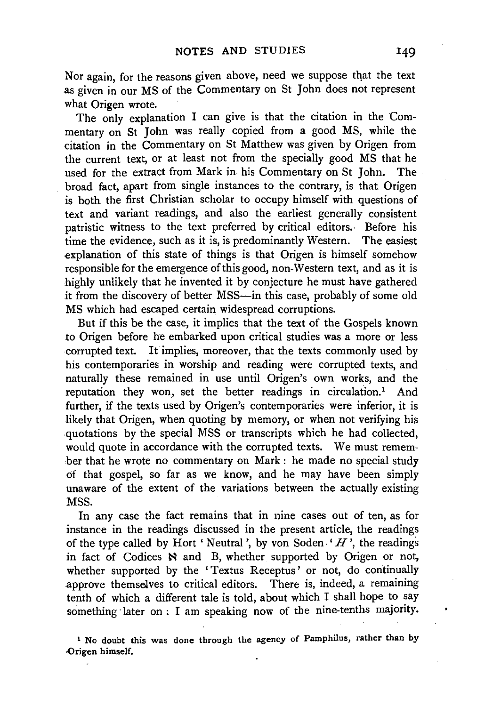Nor again, for the reasons given above, need we suppose that the text as given in our MS of the Commentary on St John does not represent what Origen wrote.

The only explanation I can give is that the citation in the Commentary on St John was really copied from a good MS, while the citation in the Commentary on St Matthew was given by Origen from the current text, or at least not from the specially good MS that he used for the extract from Mark in his Commentary on St John. The broad fact, apart from single instances to the contrary, is that Origen is both the first Christian scholar to occupy himself with questions of text and variant readings, and also the earliest generally consistent patristic witness to the text preferred by critical editors. Before his time the evidence, such as it is, is predominantly Western. The easiest explanation of this state of things is that Origen is himself somehow responsible for the emergence of this good, non-Western text, and as it is highly unlikely that he invented it by conjecture he must have gathered it from the discovery of better MSS-in this case, probably of some old MS which had escaped certain widespread corruptions.

But if this be the case, it implies that the text of the Gospels known to Origen before he embarked upon critical studies was a more or less corrupted text. It implies, moreover, that the texts commonly used by his contemporaries in worship and reading were corrupted texts, and naturally these remained in use until Origen's own works, and the reputation they won, set the better readings in circulation.<sup>1</sup> And further, if the texts used by Origen's contemporaries were inferior, it is likely that Origen, when quoting by memory, or when not verifying his .quotations by the special MSS or transcripts which he had collected, would quote in accordance with the corrupted texts. We must remember that he wrote no commentary on Mark : he made no special study of that gospel, so far as we know, and he may have been simply unaware of the extent of the variations between the actually existing MSS.

In any case the fact remains that in nine cases out of ten, as for instance in the readings discussed in the present article, the readings of the type called by Hort 'Neutral', by von Soden.'  $H$ <sup>'</sup>, the readings in fact of Codices N and B, whether supported by Origen or not, whether supported by the 'Textus Receptus' or not, do continually approve themselves to critical editors. There is, indeed, a remaining tenth of which a different tale is told, about which I shall hope to say something· later on : I am speaking now of the nine-tenths majority.

1 No doubt this was done through the agency of Pamphilus, rather than by Origen himself.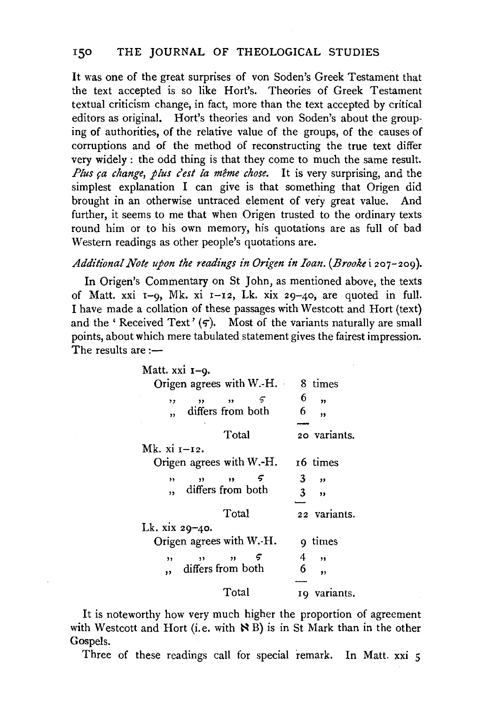It was one of the great surprises of von Soden's Greek Testament that the text accepted is so like Hort's. Theories of Greek Testament textual criticism change, in fact, more than the text accepted by critical editors as original. Hort's theories and von Soden's about the grouping of authorities, of the relative value of the groups, of the causes of corruptions and of the method of reconstructing the true text differ very widely : the odd thing is that they come to much the same result. *Plus ca change, plus c'est la même chose.* It is very surprising, and the simplest explanation I can give is that something that Origen did brought in an otherwise untraced element of very great value. And further, it seems to me that when Origen trusted to the ordinary texts round him or to his own memory, his quotations are as full of bad Western readings as other people's quotations are.

### *Additional Note upon the readings in Origen in Ioan. (Brooke* i 207-209).

In Origen's Commentary on St John, as mentioned above, the texts of Matt. xxi  $I-q$ , Mk. xi  $I-I2$ , Lk. xix 29-40, are quoted in full. I have made a collation of these passages with Westcott and Hort (text) and the ' Received Text'  $(5)$ . Most of the variants naturally are small points, about which mere tabulated statement gives the fairest impression. The results are  $:=$ 

| Matt. xxi 1-9.                                  |                                  |
|-------------------------------------------------|----------------------------------|
| Origen agrees with W.-H.                        | 8 times                          |
| 5<br>$, \, \cdot$<br>$, \, \cdot$<br>,,         | 6<br>,,                          |
| differs from both<br>,                          | 6<br>,,                          |
|                                                 |                                  |
| Total                                           | 20 variants.                     |
| Mk. xi 1–12.                                    |                                  |
| Origen agrees with $W.-H$ .                     | 16 times                         |
| 5<br>$\overline{\mathbf{v}}$<br>$\bullet$<br>,, | 3.<br>$\overline{\mathbf{z}}$    |
| differs from both                               | $3 -$<br>$\overline{\mathbf{z}}$ |
|                                                 |                                  |
| Total                                           | 22 variants.                     |
| Lk. xix $29 - 40$ .                             |                                  |
| Origen agrees with W.-H.                        | 9 times                          |
| ,,<br>$\overline{\mathbf{v}}$<br>,,             | 4<br>,,                          |
| differs from both<br>$\ddot{\phantom{1}}$       | 6<br>,,                          |
|                                                 |                                  |
| Total                                           | 19 variants.                     |

It is noteworthy how very much higher the proportion of agreement with Westcott and Hort (i.e. with  $\aleph B$ ) is in St Mark than in the other Gospels.

Three of these readings call for special remark. In Matt. xxi 5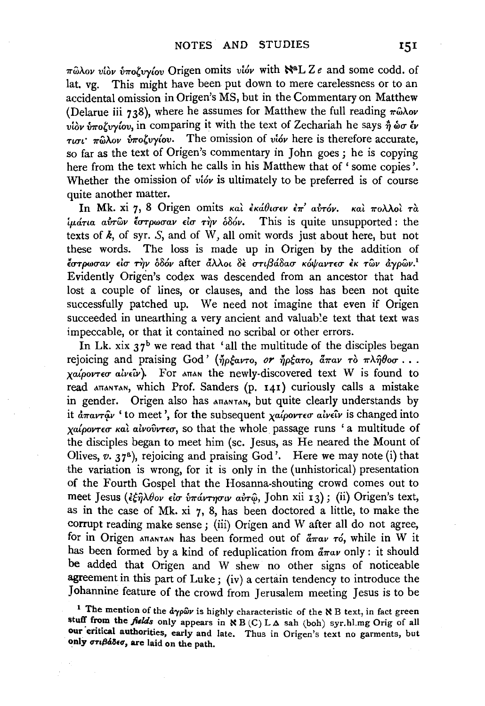$\pi \hat{\omega} \lambda$ ov vidv  $\hat{\nu} \pi$ oζυγίου Origen omits vióv with  $\aleph^a L Z e$  and some codd. of lat. vg. This might have been put down to mere carelessness or to an accidental omission in Origen's MS, but in the Commentary on Matthew (Delarue iii 738), where he assumes for Matthew the full reading  $\pi \hat{\omega} \lambda \omega$ *viov iποζυνίον, in comparing it with the text of Zechariah he says η ώσεν* wn· *1TwAov ii1To,vyfov.* The omission of *vi6v* here is therefore accurate, so far as the text of Origen's commentary in John goes ; he is copying here from the text which he calls in his Matthew that of ' some copies'. Whether the omission of *vióv* is ultimately to be preferred is of course quite another matter.

In Mk. xi 7, 8 Origen omits και εκάθισεν επ' αυτόν. και πολλοι τα *iμάτια αυτών έστρωσαν είσ την δδόν.* This is quite unsupported: the texts of  $\vec{k}$ , of syr.  $S$ , and of W, all omit words just about here, but not these words. The loss is made up in Origen by the addition of *lUTpwuav du* ~v *o86v* after if.A>..oi 8€ *UTif3rJ.8au K6ifravnu EK TWV aypwv.*<sup>1</sup> Evidently Origen's codex was descended from an ancestor that had lost a couple of lines, or clauses, and the loss has been not quite successfully patched up. We need not imagine that even if Origen succeeded in unearthing a very ancient and valuable text that text was impeccable, or that it contained no scribal or other errors.

In Lk. xix  $37<sup>b</sup>$  we read that 'all the multitude of the disciples began rejoicing and praising God' (ήρξαντο, *or ήρξατο*, *άπαν* τὸ πληθοσ... *xa{poVT£0" alv£tv).* For ATTAN the newly-discovered text w is found to read ATTANTAN, which Prof. Sanders (p. 141) curiously calls a mistake in gender. Origen also has  $ATA$  but quite clearly understands byit  $\frac{\partial}{\partial \pi}a_V\hat{i}_V$  ' to meet', for the subsequent  $\frac{\partial}{\partial \rho}a_V\hat{i}_V$  *aiv* $\hat{i}_V$  *is changed into χαίροντεσ και αινούντεσ*, so that the whole passage runs 'a multitude of the disciples began to meet him (sc. Jesus, as He neared the Mount of Olives, *v.* 37<sup>a</sup>), rejoicing and praising God'. Here we may note (i) that the variation is wrong, for it is only in the (unhistorical) presentation of the Fourth Gospel that the Hosanna-shouting crowd comes out to meet Jesus (εξηλθον είσ υπάντησιν αυτώ, John xii 13); (ii) Origen's text, as in the case of Mk. xi 7, 8, has been doctored a little, to make the corrupt reading make sense; (iii) Origen and W after all do not agree, for in Origen ATTANTAN has been formed out of  $\frac{a}{4\pi}a\nu$  *ro*, while in W it has been formed by a kind of reduplication from  $\frac{d}{dx}a v$  only : it should be added that Origen and W shew no other signs of noticeable agreement in this part of Luke ; (iv) a certain tendency to introduce the Johannine feature of the crowd from Jerusalem meeting Jesus is to be

<sup>&</sup>lt;sup>1</sup> The mention of the  $d\gamma\rho\hat{\omega}\nu$  is highly characteristic of the N B text, in fact green stuff from the *fields* only appears in  $\aleph B$  (C) LA sah (boh) syr.hl.mg Orig of all our critical authorities, early and late. Thus in Origen's text no garments, but only  $\sigma\tau\iota\beta\dot{\alpha}\delta\epsilon\sigma$ , are laid on the path.